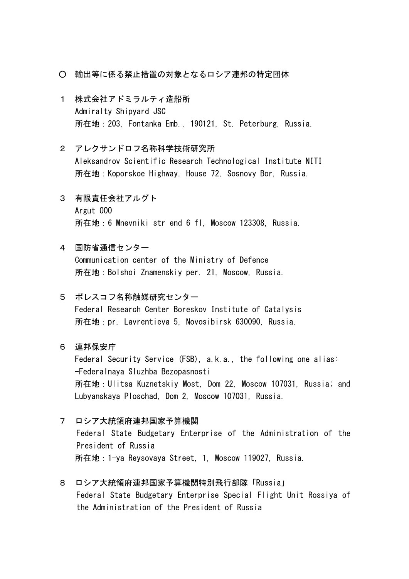- 輸出等に係る禁止措置の対象となるロシア連邦の特定団体
- 1 株式会社アドミラルティ造船所 Admiralty Shipyard JSC 所在地:203, Fontanka Emb., 190121, St. Peterburg, Russia.
- 2 アレクサンドロフ名称科学技術研究所 Aleksandrov Scientific Research Technological Institute NITI 所在地:Koporskoe Highway, House 72, Sosnovy Bor, Russia.
- 3 有限責任会社アルグト Argut OOO 所在地:6 Mnevniki str end 6 fl, Moscow 123308, Russia.
- 4 国防省通信センター Communication center of the Ministry of Defence 所在地:Bolshoi Znamenskiy per. 21, Moscow, Russia.
- 5 ボレスコフ名称触媒研究センター Federal Research Center Boreskov Institute of Catalysis 所在地:pr. Lavrentieva 5, Novosibirsk 630090, Russia.
- 6 連邦保安庁

Federal Security Service (FSB), a.k.a., the following one alias: -Federalnaya Sluzhba Bezopasnosti 所在地:Ulitsa Kuznetskiy Most, Dom 22, Moscow 107031, Russia; and Lubyanskaya Ploschad, Dom 2, Moscow 107031, Russia.

- 7 ロシア大統領府連邦国家予算機関 Federal State Budgetary Enterprise of the Administration of the President of Russia 所在地:1-ya Reysovaya Street, 1, Moscow 119027, Russia.
- 8 ロシア大統領府連邦国家予算機関特別飛行部隊「Russia」 Federal State Budgetary Enterprise Special Flight Unit Rossiya of the Administration of the President of Russia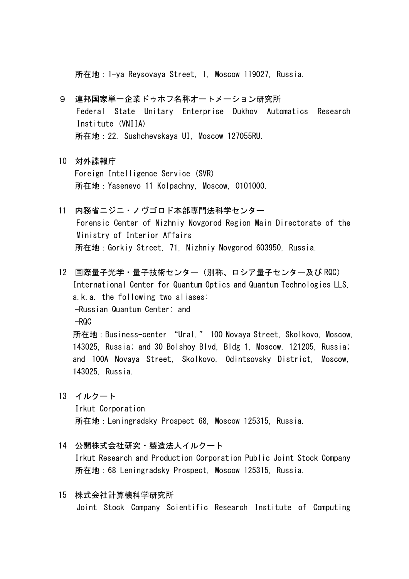所在地:1-ya Reysovaya Street, 1, Moscow 119027, Russia.

- 9 連邦国家単一企業ドゥホフ名称オートメーション研究所 Federal State Unitary Enterprise Dukhov Automatics Research Institute (VNIIA) 所在地:22, Sushchevskaya UI, Moscow 127055RU.
- 10 対外諜報庁 Foreign Intelligence Service (SVR) 所在地:Yasenevo 11 Kolpachny, Moscow, 0101000.
- 11 内務省ニジニ・ノヴゴロド本部専門法科学センター Forensic Center of Nizhniy Novgorod Region Main Directorate of the Ministry of Interior Affairs 所在地:Gorkiy Street, 71, Nizhniy Novgorod 603950, Russia.
- 12 国際量子光学・量子技術センター(別称、ロシア量子センター及び RQC) International Center for Quantum Optics and Quantum Technologies LLS, a.k.a. the following two aliases: -Russian Quantum Center; and  $-ROC$ 所在地:Business-center "Ural," 100 Novaya Street, Skolkovo, Moscow, 143025, Russia; and 30 Bolshoy Blvd, Bldg 1, Moscow, 121205, Russia; and 100A Novaya Street, Skolkovo, Odintsovsky District, Moscow, 143025, Russia.
- 13 イルクート

Irkut Corporation 所在地:Leningradsky Prospect 68, Moscow 125315, Russia.

- 14 公開株式会社研究・製造法人イルクート Irkut Research and Production Corporation Public Joint Stock Company 所在地:68 Leningradsky Prospect, Moscow 125315, Russia.
- 15 株式会社計算機科学研究所 Joint Stock Company Scientific Research Institute of Computing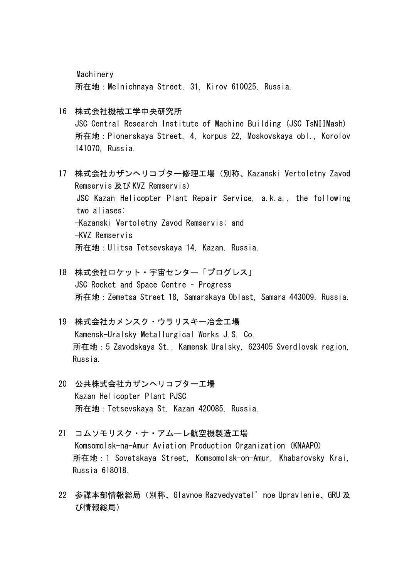Machinery 所在地:Melnichnaya Street, 31, Kirov 610025, Russia.

- 16 株式会社機械工学中央研究所 JSC Central Research Institute of Machine Building (JSC TsNIIMash) 所在地:Pionerskaya Street, 4, korpus 22, Moskovskaya obl., Korolov 141070, Russia.
- 17 株式会社カザンヘリコプター修理工場(別称、Kazanski Vertoletny Zavod Remservis 及び KVZ Remservis) JSC Kazan Helicopter Plant Repair Service, a.k.a., the following two aliases: -Kazanski Vertoletny Zavod Remservis; and -KVZ Remservis 所在地:Ulitsa Tetsevskaya 14, Kazan, Russia.
- 18 株式会社ロケット・宇宙センター「プログレス」 JSC Rocket and Space Centre – Progress 所在地:Zemetsa Street 18, Samarskaya Oblast, Samara 443009, Russia.
- 19 株式会社カメンスク・ウラリスキー冶金工場 Kamensk-Uralsky Metallurgical Works J.S. Co. 所在地:5 Zavodskaya St., Kamensk Uralsky, 623405 Sverdlovsk region, Russia.
- 20 公共株式会社カザンヘリコプター工場 Kazan Helicopter Plant PJSC 所在地:Tetsevskaya St, Kazan 420085, Russia.
- 21 コムソモリスク・ナ・アムーレ航空機製造工場 Komsomolsk-na-Amur Aviation Production Organization (KNAAPO) 所在地:1 Sovetskaya Street, Komsomolsk-on-Amur, Khabarovsky Krai, Russia 618018.
- 22 参謀本部情報総局(別称、Glavnoe Razvedyvatel'noe Upravlenie、GRU 及 び情報総局)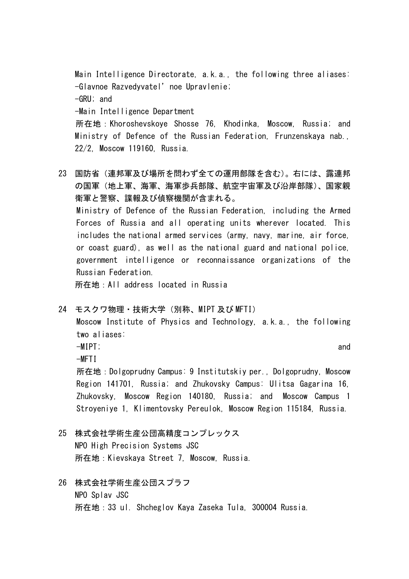Main Intelligence Directorate, a.k.a., the following three aliases: -Glavnoe Razvedyvatel'noe Upravlenie; -GRU; and -Main Intelligence Department 所在地:Khoroshevskoye Shosse 76, Khodinka, Moscow, Russia; and Ministry of Defence of the Russian Federation, Frunzenskaya nab., 22/2, Moscow 119160, Russia.

23 国防省(連邦軍及び場所を問わず全ての運用部隊を含む)。右には、露連邦 の国軍(地上軍、海軍、海軍歩兵部隊、航空宇宙軍及び沿岸部隊)、国家親 衛軍と警察、諜報及び偵察機関が含まれる。 Ministry of Defence of the Russian Federation, including the Armed Forces of Russia and all operating units wherever located. This includes the national armed services (army, navy, marine, air force, or coast guard), as well as the national guard and national police, government intelligence or reconnaissance organizations of the Russian Federation.

所在地:All address located in Russia

24 モスクワ物理・技術大学(別称、MIPT 及び MFTI)

Moscow Institute of Physics and Technology, a.k.a., the following two aliases:

-MIPT; and

 $-MFTI$ 

所在地:Dolgoprudny Campus: 9 Institutskiy per., Dolgoprudny, Moscow Region 141701, Russia; and Zhukovsky Campus: Ulitsa Gagarina 16, Zhukovsky, Moscow Region 140180, Russia; and Moscow Campus 1 Stroyeniye 1, Klimentovsky Pereulok, Moscow Region 115184, Russia.

- 25 株式会社学術生産公団高精度コンプレックス NPO High Precision Systems JSC 所在地:Kievskaya Street 7, Moscow, Russia.
- 26 株式会社学術生産公団スプラフ NPO Splav JSC 所在地:33 ul. Shcheglov Kaya Zaseka Tula, 300004 Russia.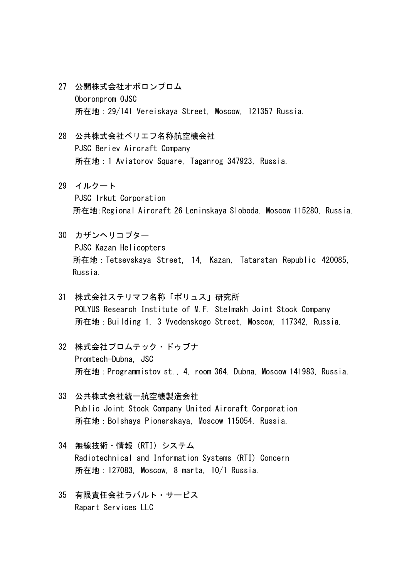- 27 公開株式会社オボロンプロム Oboronprom OJSC 所在地:29/141 Vereiskaya Street, Moscow, 121357 Russia.
- 28 公共株式会社ベリエフ名称航空機会社 PJSC Beriev Aircraft Company 所在地:1 Aviatorov Square, Taganrog 347923, Russia.
- 29 イルクート PJSC Irkut Corporation 所在地:Regional Aircraft 26 Leninskaya Sloboda, Moscow 115280, Russia.
- 30 カザンヘリコプター PJSC Kazan Helicopters 所在地:Tetsevskaya Street, 14, Kazan, Tatarstan Republic 420085, Russia.
- 31 株式会社ステリマフ名称「ポリュス」研究所 POLYUS Research Institute of M.F. Stelmakh Joint Stock Company 所在地:Building 1, 3 Vvedenskogo Street, Moscow, 117342, Russia.
- 32 株式会社プロムテック・ドゥブナ Promtech-Dubna, JSC 所在地:Programmistov st., 4, room 364, Dubna, Moscow 141983, Russia.
- 33 公共株式会社統一航空機製造会社 Public Joint Stock Company United Aircraft Corporation 所在地:Bolshaya Pionerskaya, Moscow 115054, Russia.
- 34 無線技術・情報(RTI)システム Radiotechnical and Information Systems (RTI) Concern 所在地:127083, Moscow, 8 marta, 10/1 Russia.
- 35 有限責任会社ラパルト・サービス Rapart Services LLC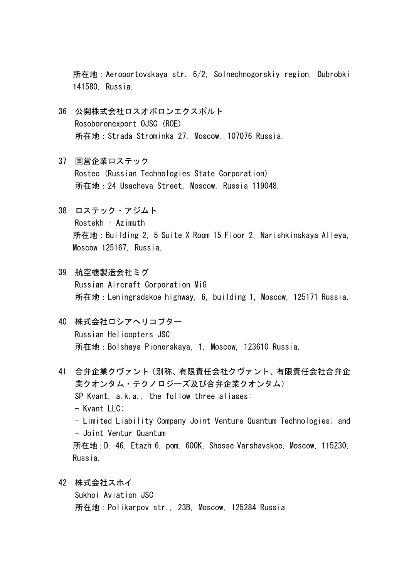所在地:Aeroportovskaya str. 6/2, Solnechnogorskiy region, Dubrobki 141580, Russia.

- 36 公開株式会社ロスオボロンエクスポルト Rosoboronexport OJSC (ROE) 所在地:Strada Strominka 27, Moscow, 107076 Russia.
- 37 国営企業ロステック Rostec (Russian Technologies State Corporation) 所在地:24 Usacheva Street, Moscow, Russia 119048.
- 38 ロステック・アジムト Rostekh – Azimuth 所在地:Building 2, 5 Suite X Room 15 Floor 2, Narishkinskaya Alleya, Moscow 125167, Russia.
- 39 航空機製造会社ミグ Russian Aircraft Corporation MiG 所在地:Leningradskoe highway, 6, building 1, Moscow, 125171 Russia.
- 40 株式会社ロシアヘリコプター Russian Helicopters JSC 所在地:Bolshaya Pionerskaya, 1, Moscow, 123610 Russia.
- 41 合弁企業クヴァント(別称、有限責任会社クヴァント、有限責任会社合弁企 業クオンタム・テクノロジーズ及び合弁企業クオンタム) SP Kvant, a.k.a., the follow three aliases: - Kvant LLC; - Limited Liability Company Joint Venture Quantum Technologies; and - Joint Ventur Quantum 所在地:D. 46, Etazh 6, pom. 600K, Shosse Varshavskoe, Moscow, 115230, Russia.
- 42 株式会社スホイ Sukhoi Aviation JSC 所在地:Polikarpov str., 23B, Moscow, 125284 Russia.